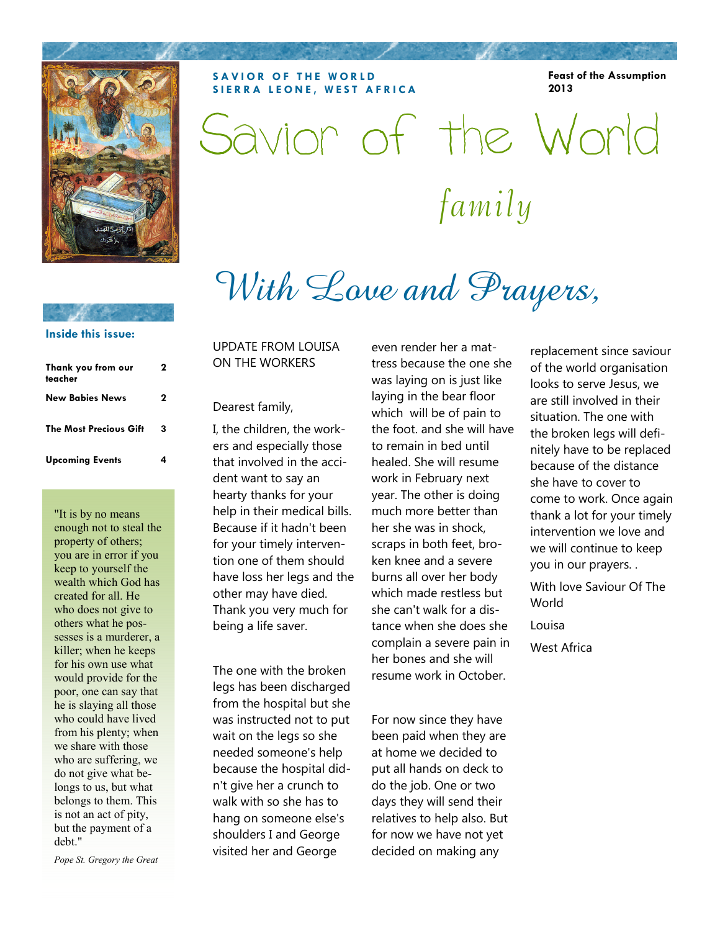

**SAVIOR OF THE WORLD SIERRA LEONE, WEST AFRICA**  **Feast of the Assumption 2013** 

family Savior of the World

# With Love and Prayers,

### **Inside this issue:**

| Thank you from our<br>teacher | 2 |
|-------------------------------|---|
| <b>New Babies News</b>        | 2 |
| <b>The Most Precious Gift</b> | 3 |
| <b>Upcoming Events</b>        |   |

"It is by no means enough not to steal the property of others; you are in error if you keep to yourself the wealth which God has created for all. He who does not give to others what he possesses is a murderer, a killer; when he keeps for his own use what would provide for the poor, one can say that he is slaying all those who could have lived from his plenty; when we share with those who are suffering, we do not give what belongs to us, but what belongs to them. This is not an act of pity, but the payment of a debt."

*Pope St. Gregory the Great* 

UPDATE FROM LOUISA ON THE WORKERS

### Dearest family,

I, the children, the workers and especially those that involved in the accident want to say an hearty thanks for your help in their medical bills. Because if it hadn't been for your timely intervention one of them should have loss her legs and the other may have died. Thank you very much for being a life saver.

The one with the broken legs has been discharged from the hospital but she was instructed not to put wait on the legs so she needed someone's help because the hospital didn't give her a crunch to walk with so she has to hang on someone else's shoulders I and George visited her and George

even render her a mattress because the one she was laying on is just like laying in the bear floor which will be of pain to the foot. and she will have to remain in bed until healed. She will resume work in February next year. The other is doing much more better than her she was in shock, scraps in both feet, broken knee and a severe burns all over her body which made restless but she can't walk for a distance when she does she complain a severe pain in her bones and she will resume work in October.

For now since they have been paid when they are at home we decided to put all hands on deck to do the job. One or two days they will send their relatives to help also. But for now we have not yet decided on making any

replacement since saviour of the world organisation looks to serve Jesus, we are still involved in their situation. The one with the broken legs will definitely have to be replaced because of the distance she have to cover to come to work. Once again thank a lot for your timely intervention we love and we will continue to keep you in our prayers. .

With love Saviour Of The World

Louisa

West Africa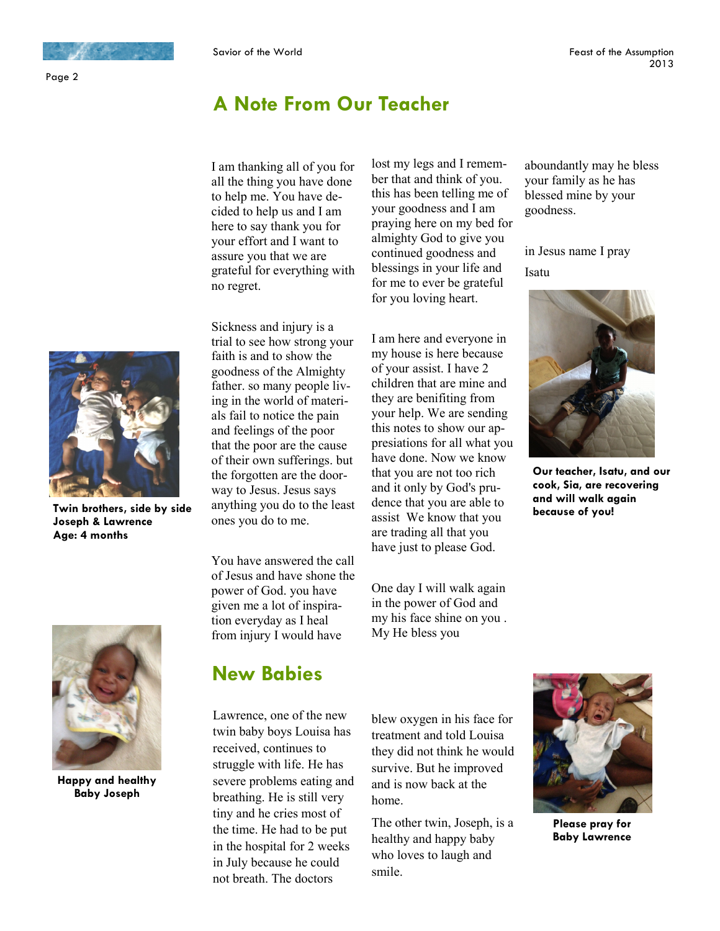### Page 2

# **A Note From Our Teacher**

I am thanking all of you for all the thing you have done to help me. You have decided to help us and I am here to say thank you for your effort and I want to assure you that we are grateful for everything with no regret.

Sickness and injury is a trial to see how strong your faith is and to show the goodness of the Almighty father. so many people living in the world of materials fail to notice the pain and feelings of the poor that the poor are the cause of their own sufferings. but the forgotten are the doorway to Jesus. Jesus says anything you do to the least ones you do to me.

You have answered the call of Jesus and have shone the power of God. you have given me a lot of inspiration everyday as I heal from injury I would have

lost my legs and I remember that and think of you. this has been telling me of your goodness and I am praying here on my bed for almighty God to give you continued goodness and blessings in your life and for me to ever be grateful for you loving heart.

I am here and everyone in my house is here because of your assist. I have 2 children that are mine and they are benifiting from your help. We are sending this notes to show our appresiations for all what you have done. Now we know that you are not too rich and it only by God's prudence that you are able to assist We know that you are trading all that you have just to please God.

One day I will walk again in the power of God and my his face shine on you . My He bless you

aboundantly may he bless your family as he has blessed mine by your goodness.

in Jesus name I pray Isatu



**Our teacher, Isatu, and our cook, Sia, are recovering and will walk again because of you!** 



**Happy and healthy Baby Joseph** 

# **New Babies**

Lawrence, one of the new twin baby boys Louisa has received, continues to struggle with life. He has severe problems eating and breathing. He is still very tiny and he cries most of the time. He had to be put in the hospital for 2 weeks in July because he could not breath. The doctors

blew oxygen in his face for treatment and told Louisa they did not think he would survive. But he improved and is now back at the home.

The other twin, Joseph, is a healthy and happy baby who loves to laugh and smile.



**Please pray for Baby Lawrence** 



**Twin brothers, side by side Joseph & Lawrence Age: 4 months**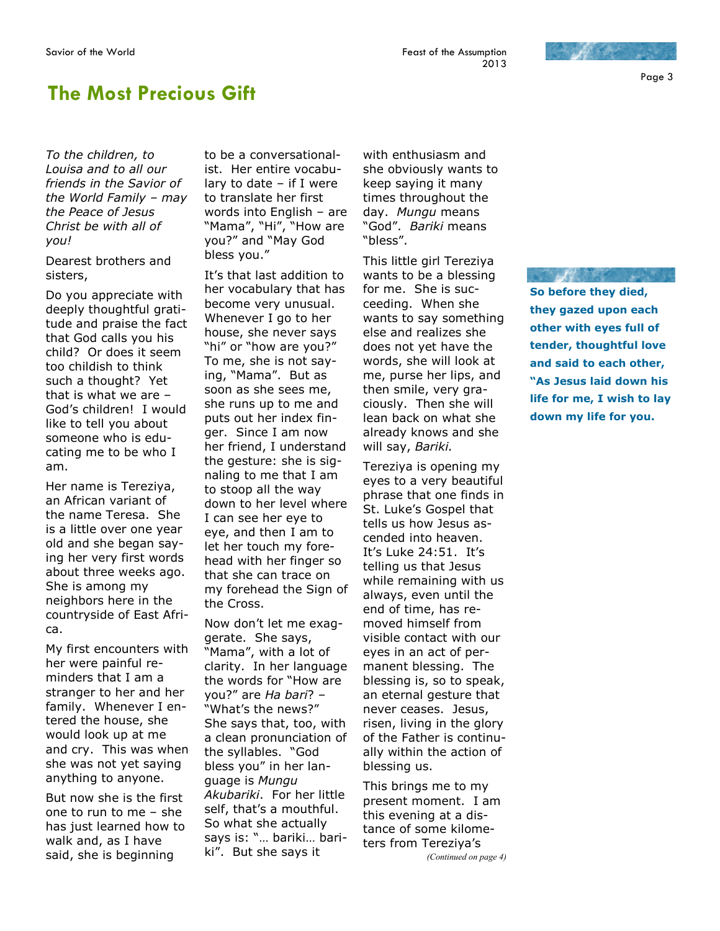# **The Most Precious Gift**

*To the children, to Louisa and to all our friends in the Savior of the World Family – may the Peace of Jesus Christ be with all of you!* 

Dearest brothers and sisters,

Do you appreciate with deeply thoughtful gratitude and praise the fact that God calls you his child? Or does it seem too childish to think such a thought? Yet that is what we are – God's children! I would like to tell you about someone who is educating me to be who I am.

Her name is Tereziya, an African variant of the name Teresa. She is a little over one year old and she began saying her very first words about three weeks ago. She is among my neighbors here in the countryside of East Africa.

My first encounters with her were painful reminders that I am a stranger to her and her family. Whenever I entered the house, she would look up at me and cry. This was when she was not yet saying anything to anyone.

But now she is the first one to run to me – she has just learned how to walk and, as I have said, she is beginning

to be a conversationalist. Her entire vocabulary to date – if I were to translate her first words into English – are "Mama", "Hi", "How are you?" and "May God bless you."

It's that last addition to her vocabulary that has become very unusual. Whenever I go to her house, she never says "hi" or "how are you?" To me, she is not saying, "Mama". But as soon as she sees me, she runs up to me and puts out her index finger. Since I am now her friend, I understand the gesture: she is signaling to me that I am to stoop all the way down to her level where I can see her eye to eye, and then I am to let her touch my forehead with her finger so that she can trace on my forehead the Sign of the Cross.

Now don't let me exaggerate. She says, "Mama", with a lot of clarity. In her language the words for "How are you?" are *Ha bari*? – "What's the news?" She says that, too, with a clean pronunciation of the syllables. "God bless you" in her language is *Mungu Akubariki*. For her little self, that's a mouthful. So what she actually says is: "… bariki… bariki". But she says it

with enthusiasm and she obviously wants to keep saying it many times throughout the day. *Mungu* means "God". *Bariki* means "bless".

This little girl Tereziya wants to be a blessing for me. She is succeeding. When she wants to say something else and realizes she does not yet have the words, she will look at me, purse her lips, and then smile, very graciously. Then she will lean back on what she already knows and she will say, *Bariki.* 

Tereziya is opening my eyes to a very beautiful phrase that one finds in St. Luke's Gospel that tells us how Jesus ascended into heaven. It's Luke 24:51. It's telling us that Jesus while remaining with us always, even until the end of time, has removed himself from visible contact with our eyes in an act of permanent blessing. The blessing is, so to speak, an eternal gesture that never ceases. Jesus, risen, living in the glory of the Father is continually within the action of blessing us.

This brings me to my present moment. I am this evening at a distance of some kilometers from Tereziya's *(Continued on page 4)* 

**So before they died, they gazed upon each other with eyes full of tender, thoughtful love and said to each other, "As Jesus laid down his life for me, I wish to lay down my life for you.**